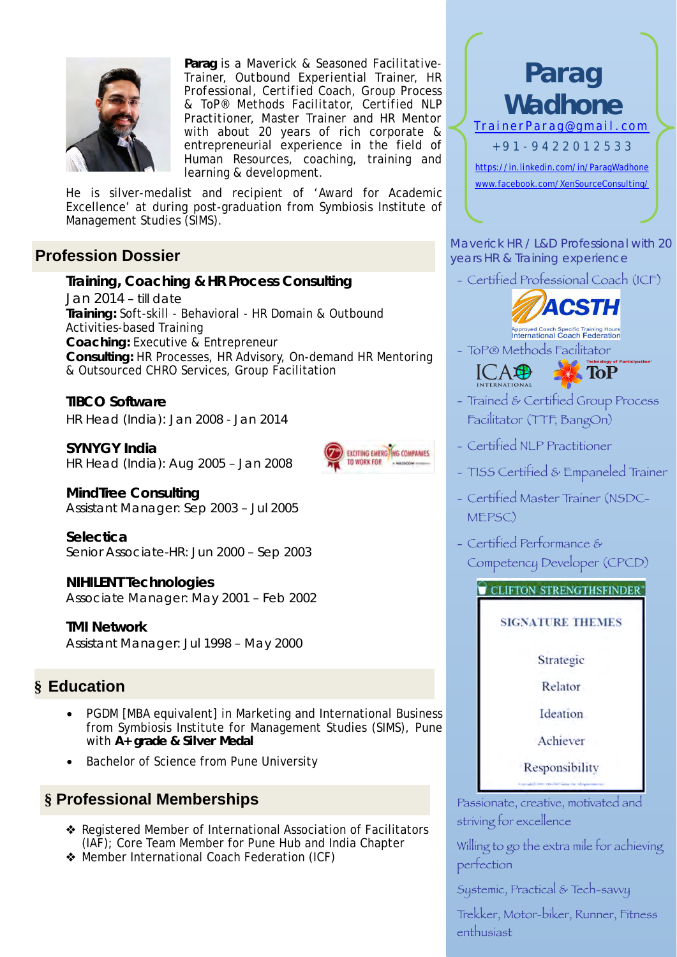

**Parag** is a *Maverick & Seasoned Facilitative-Trainer, Outbound Experiential Trainer, HR Professional, Certified Coach, Group Process & ToP® Methods Facilitator, Certified NLP Practitioner, Master Trainer and HR Mentor* with about 20 years of rich corporate & entrepreneurial experience in the field of Human Resources, coaching, training and learning & development.

He is silver-medalist and recipient of 'Award for Academic Excellence' at during post-graduation from Symbiosis Institute of Management Studies (SIMS).

## **Profession Dossier**

**Training, Coaching & HR Process Consulting** Jan 2014 – till date *Training:* Soft-skill - Behavioral - HR Domain & Outbound Activities-based Training *Coaching:* Executive & Entrepreneur *Consulting:* HR Processes, HR Advisory, On-demand HR Mentoring & Outsourced CHRO Services, Group Facilitation

#### **TIBCO Software**  HR Head (India): Jan 2008 - Jan 2014

**SYNYGY India**  HR Head (India): Aug 2005 – Jan 2008



**MindTree Consulting**  Assistant Manager: Sep 2003 – Jul 2005

**Selectica**  Senior Associate-HR: Jun 2000 – Sep 2003

### **NIHILENT Technologies**

Associate Manager: May 2001 – Feb 2002

**TMI Network**  Assistant Manager: Jul 1998 – May 2000

## **§ Education**

- PGDM [MBA equivalent] in Marketing and International Business from Symbiosis Institute for Management Studies (SIMS), Pune with **A+ grade & Silver Medal**
- Bachelor of Science from Pune University

## **§ Professional Memberships**

- ❖ Registered Member of International Association of Facilitators (IAF); Core Team Member for Pune Hub and India Chapter
- ❖ Member International Coach Federation (ICF)



Maverick HR / L&D Professional with 20 years HR & Training experience

- Certified Professional Coach (ICF)



Approved Coach Specific Training Hours<br>International Coach Federation

- ToP® Methods Facilitator



- Trained & Certified Group Process Facilitator (TTF, BangOn)
- Certified NLP Practitioner
- TISS Certified & Empaneled Trainer
- Certified Master Trainer (NSDC-MEPSC)
- Certified Performance & Competency Developer (CPCD)

### CLIFTON STRENGTHSFINDER

### **SIGNATURE THEMES**

Strategic

Relator

Ideation

Achiever

Responsibility

Passionate, creative, motivated and striving for excellence

Willing to go the extra mile for achieving perfection

Systemic, Practical & Tech-savvy

Trekker, Motor-biker, Runner, Fitness enthusiast